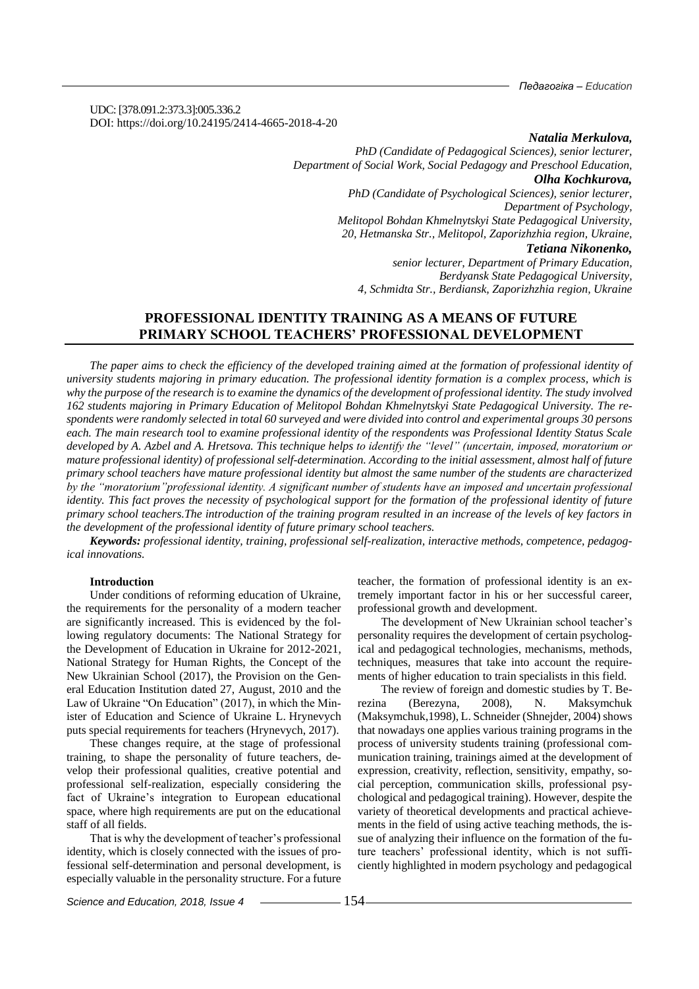*Педагогіка – Education*

UDC: [378.091.2:373.3]:005.336.2 DOI: https://doi.org/10.24195/2414-4665-2018-4-20

### *Natalia Merkulova,*

*PhD (Candidate of Pedagogical Sciences), senior lecturer, Department of Social Work, Social Pedagogy and Preschool Education, Olha Kochkurova, PhD (Candidate of Psychological Sciences), senior lecturer, Department of Psychology, Melitopol Bohdan Khmelnytskyi State Pedagogical University, 20, Hetmanska Str., Melitopol, Zaporizhzhia region, Ukraine, Tetiana Nikonenko, senior lecturer, Department of Primary Education, Berdyansk State Pedagogical University, 4, Schmidta Str., Berdiansk, Zaporizhzhia region, Ukraine*

# **PROFESSIONAL IDENTITY TRAINING AS A MEANS OF FUTURE PRIMARY SCHOOL TEACHERS' PROFESSIONAL DEVELOPMENT**

The paper aims to check the efficiency of the developed training aimed at the formation of professional identity of *university students majoring in primary education. The professional identity formation is a complex process, which is why the purpose of the research is to examine the dynamics of the development of professional identity. The study involved 162 students majoring in Primary Education of Melitopol Bohdan Khmelnytskyi State Pedagogical University. The respondents were randomly selected in total 60 surveyed and were divided into control and experimental groups 30 persons each. The main research tool to examine professional identity of the respondents was Professional Identity Status Scale developed by A. Azbel and A. Hretsova. This technique helps to identify the "level" (uncertain, imposed, moratorium or mature professional identity) of professional self-determination. According to the initial assessment, almost half of future primary school teachers have mature professional identity but almost the same number of the students are characterized by the "moratorium"professional identity. A significant number of students have an imposed and uncertain professional identity. This fact proves the necessity of psychological support for the formation of the professional identity of future primary school teachers.The introduction of the training program resulted in an increase of the levels of key factors in the development of the professional identity of future primary school teachers.*

*Keywords: professional identity, training, professional self-realization, interactive methods, competence, pedagogical innovations.*

### **Introduction**

Under conditions of reforming education of Ukraine, the requirements for the personality of a modern teacher are significantly increased. This is evidenced by the following regulatory documents: The National Strategy for the Development of Education in Ukraine for 2012-2021, National Strategy for Human Rights, the Concept of the New Ukrainian School (2017), the Provision on the General Education Institution dated 27, August, 2010 and the Law of Ukraine "On Education" (2017), in which the Minister of Education and Science of Ukraine L. Hrynevych puts special requirements for teachers (Hrynevych, 2017).

These changes require, at the stage of professional training, to shape the personality of future teachers, develop their professional qualities, creative potential and professional self-realization, especially considering the fact of Ukraine's integration to European educational space, where high requirements are put on the educational staff of all fields.

That is why the development of teacher's professional identity, which is closely connected with the issues of professional self-determination and personal development, is especially valuable in the personality structure. For a future teacher, the formation of professional identity is an extremely important factor in his or her successful career, professional growth and development.

The development of New Ukrainian school teacher's personality requires the development of certain psychological and pedagogical technologies, mechanisms, methods, techniques, measures that take into account the requirements of higher education to train specialists in this field.

The review of foreign and domestic studies by T. Berezina (Berezyna, 2008), N. Maksymchuk (Maksymchuk, 1998), L. Schneider (Shnejder, 2004) shows that nowadays one applies various training programs in the process of university students training (professional communication training, trainings aimed at the development of expression, creativity, reflection, sensitivity, empathy, social perception, communication skills, professional psychological and pedagogical training). However, despite the variety of theoretical developments and practical achievements in the field of using active teaching methods, the issue of analyzing their influence on the formation of the future teachers' professional identity, which is not sufficiently highlighted in modern psychology and pedagogical

*Science and Education, 2018, Issue 4* 154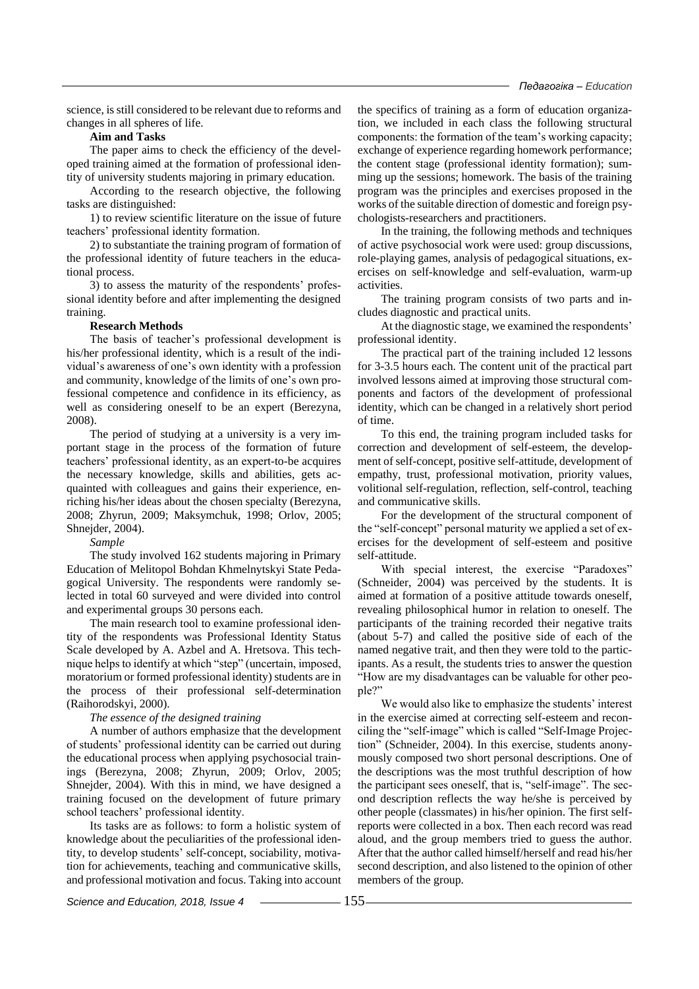science, is still considered to be relevant due to reforms and changes in all spheres of life.

### **Aim and Tasks**

The paper aims to check the efficiency of the developed training aimed at the formation of professional identity of university students majoring in primary education.

According to the research objective, the following tasks are distinguished:

1) to review scientific literature on the issue of future teachers' professional identity formation.

2) to substantiate the training program of formation of the professional identity of future teachers in the educational process.

3) to assess the maturity of the respondents' professional identity before and after implementing the designed training.

#### **Research Methods**

The basis of teacher's professional development is his/her professional identity, which is a result of the individual's awareness of one's own identity with a profession and community, knowledge of the limits of one's own professional competence and confidence in its efficiency, as well as considering oneself to be an expert (Berezyna, 2008).

The period of studying at a university is a very important stage in the process of the formation of future teachers' professional identity, as an expert-to-be acquires the necessary knowledge, skills and abilities, gets acquainted with colleagues and gains their experience, enriching his/her ideas about the chosen specialty (Berezyna, 2008; Zhyrun, 2009; Maksymchuk, 1998; Orlov, 2005; Shnejder, 2004).

*Sample*

The study involved 162 students majoring in Primary Education of Melitopol Bohdan Khmelnytskyi State Pedagogical University. The respondents were randomly selected in total 60 surveyed and were divided into control and experimental groups 30 persons each.

The main research tool to examine professional identity of the respondents was Professional Identity Status Scale developed by A. Azbel and A. Hretsova. This technique helps to identify at which "step" (uncertain, imposed, moratorium or formed professional identity) students are in the process of their professional self-determination (Raihorodskyi, 2000).

#### *The essence of the designed training*

A number of authors emphasize that the development of students' professional identity can be carried out during the educational process when applying psychosocial trainings (Berezyna, 2008; Zhyrun, 2009; Orlov, 2005; Shnejder, 2004). With this in mind, we have designed a training focused on the development of future primary school teachers' professional identity.

Its tasks are as follows: to form a holistic system of knowledge about the peculiarities of the professional identity, to develop students' self-concept, sociability, motivation for achievements, teaching and communicative skills, and professional motivation and focus. Taking into account the specifics of training as a form of education organization, we included in each class the following structural components: the formation of the team's working capacity; exchange of experience regarding homework performance; the content stage (professional identity formation); summing up the sessions; homework. The basis of the training program was the principles and exercises proposed in the works of the suitable direction of domestic and foreign psychologists-researchers and practitioners.

In the training, the following methods and techniques of active psychosocial work were used: group discussions, role-playing games, analysis of pedagogical situations, exercises on self-knowledge and self-evaluation, warm-up activities.

The training program consists of two parts and includes diagnostic and practical units.

At the diagnostic stage, we examined the respondents' professional identity.

The practical part of the training included 12 lessons for 3-3.5 hours each. The content unit of the practical part involved lessons aimed at improving those structural components and factors of the development of professional identity, which can be changed in a relatively short period of time.

To this end, the training program included tasks for correction and development of self-esteem, the development of self-concept, positive self-attitude, development of empathy, trust, professional motivation, priority values, volitional self-regulation, reflection, self-control, teaching and communicative skills.

For the development of the structural component of the "self-concept" personal maturity we applied a set of exercises for the development of self-esteem and positive self-attitude.

With special interest, the exercise "Paradoxes" (Schneider, 2004) was perceived by the students. It is aimed at formation of a positive attitude towards oneself, revealing philosophical humor in relation to oneself. The participants of the training recorded their negative traits (about 5-7) and called the positive side of each of the named negative trait, and then they were told to the participants. As a result, the students tries to answer the question "How are my disadvantages can be valuable for other people?"

We would also like to emphasize the students' interest in the exercise aimed at correcting self-esteem and reconciling the "self-image" which is called "Self-Image Projection" (Schneider, 2004). In this exercise, students anonymously composed two short personal descriptions. One of the descriptions was the most truthful description of how the participant sees oneself, that is, "self-image". The second description reflects the way he/she is perceived by other people (classmates) in his/her opinion. The first selfreports were collected in a box. Then each record was read aloud, and the group members tried to guess the author. After that the author called himself/herself and read his/her second description, and also listened to the opinion of other members of the group.

*Science and Education, 2018, Issue 4* 155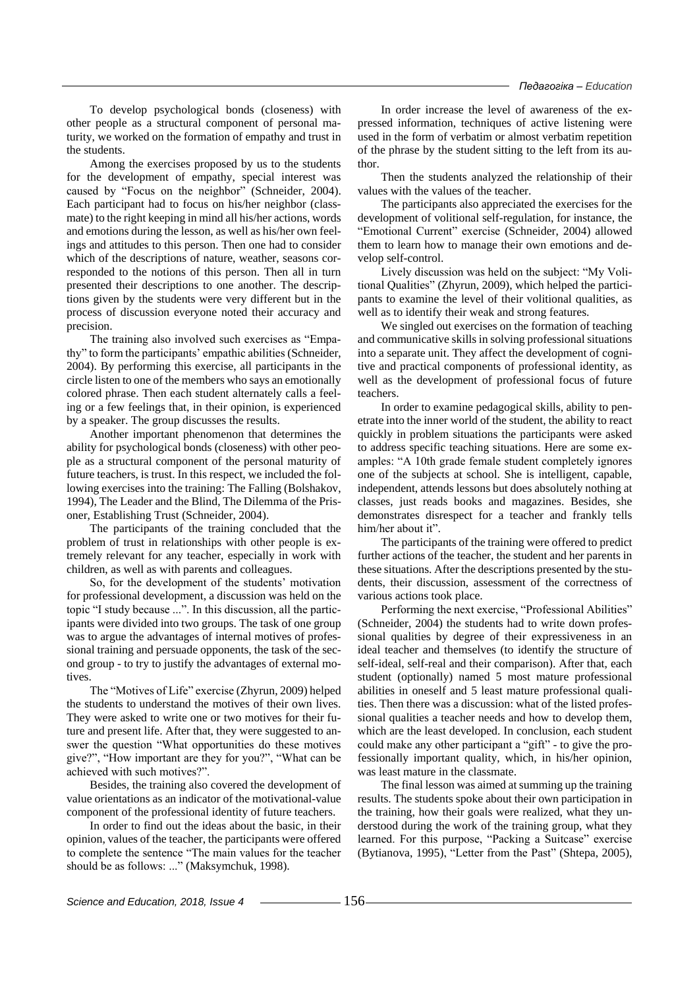To develop psychological bonds (closeness) with other people as a structural component of personal maturity, we worked on the formation of empathy and trust in the students.

Among the exercises proposed by us to the students for the development of empathy, special interest was caused by "Focus on the neighbor" (Schneider, 2004). Each participant had to focus on his/her neighbor (classmate) to the right keeping in mind all his/her actions, words and emotions during the lesson, as well as his/her own feelings and attitudes to this person. Then one had to consider which of the descriptions of nature, weather, seasons corresponded to the notions of this person. Then all in turn presented their descriptions to one another. The descriptions given by the students were very different but in the process of discussion everyone noted their accuracy and precision.

The training also involved such exercises as "Empathy" to form the participants' empathic abilities (Schneider, 2004). By performing this exercise, all participants in the circle listen to one of the members who says an emotionally colored phrase. Then each student alternately calls a feeling or a few feelings that, in their opinion, is experienced by a speaker. The group discusses the results.

Another important phenomenon that determines the ability for psychological bonds (closeness) with other people as a structural component of the personal maturity of future teachers, is trust. In this respect, we included the following exercises into the training: The Falling (Bolshakov, 1994), The Leader and the Blind, The Dilemma of the Prisoner, Establishing Trust (Schneider, 2004).

The participants of the training concluded that the problem of trust in relationships with other people is extremely relevant for any teacher, especially in work with children, as well as with parents and colleagues.

So, for the development of the students' motivation for professional development, a discussion was held on the topic "I study because ...". In this discussion, all the participants were divided into two groups. The task of one group was to argue the advantages of internal motives of professional training and persuade opponents, the task of the second group - to try to justify the advantages of external motives.

The "Motives of Life" exercise (Zhyrun, 2009) helped the students to understand the motives of their own lives. They were asked to write one or two motives for their future and present life. After that, they were suggested to answer the question "What opportunities do these motives give?", "How important are they for you?", "What can be achieved with such motives?".

Besides, the training also covered the development of value orientations as an indicator of the motivational-value component of the professional identity of future teachers.

In order to find out the ideas about the basic, in their opinion, values of the teacher, the participants were offered to complete the sentence "The main values for the teacher should be as follows: ..." (Maksymchuk, 1998).

In order increase the level of awareness of the expressed information, techniques of active listening were used in the form of verbatim or almost verbatim repetition of the phrase by the student sitting to the left from its author.

Then the students analyzed the relationship of their values with the values of the teacher.

The participants also appreciated the exercises for the development of volitional self-regulation, for instance, the "Emotional Current" exercise (Schneider, 2004) allowed them to learn how to manage their own emotions and develop self-control.

Lively discussion was held on the subject: "My Volitional Qualities" (Zhyrun, 2009), which helped the participants to examine the level of their volitional qualities, as well as to identify their weak and strong features.

We singled out exercises on the formation of teaching and communicative skills in solving professional situations into a separate unit. They affect the development of cognitive and practical components of professional identity, as well as the development of professional focus of future teachers.

In order to examine pedagogical skills, ability to penetrate into the inner world of the student, the ability to react quickly in problem situations the participants were asked to address specific teaching situations. Here are some examples: "A 10th grade female student completely ignores one of the subjects at school. She is intelligent, capable, independent, attends lessons but does absolutely nothing at classes, just reads books and magazines. Besides, she demonstrates disrespect for a teacher and frankly tells him/her about it".

The participants of the training were offered to predict further actions of the teacher, the student and her parents in these situations. After the descriptions presented by the students, their discussion, assessment of the correctness of various actions took place.

Performing the next exercise, "Professional Abilities" (Schneider, 2004) the students had to write down professional qualities by degree of their expressiveness in an ideal teacher and themselves (to identify the structure of self-ideal, self-real and their comparison). After that, each student (optionally) named 5 most mature professional abilities in oneself and 5 least mature professional qualities. Then there was a discussion: what of the listed professional qualities a teacher needs and how to develop them, which are the least developed. In conclusion, each student could make any other participant a "gift" - to give the professionally important quality, which, in his/her opinion, was least mature in the classmate.

The final lesson was aimed at summing up the training results. The students spoke about their own participation in the training, how their goals were realized, what they understood during the work of the training group, what they learned. For this purpose, "Packing a Suitcase" exercise (Bytianova, 1995), "Letter from the Past" (Shtepa, 2005),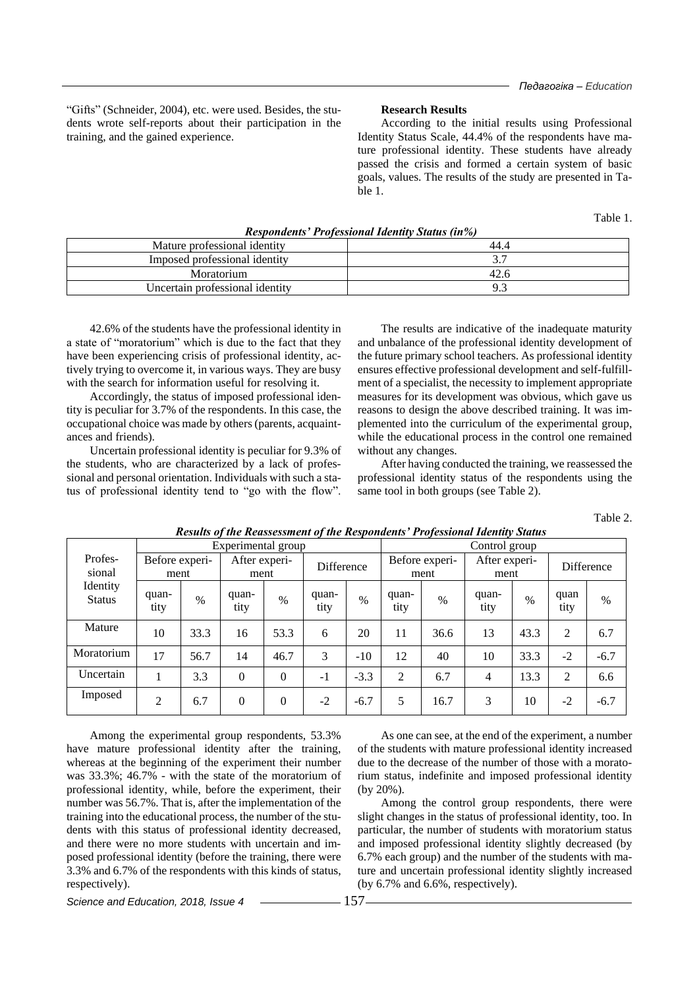"Gifts" (Schneider, 2004), etc. were used. Besides, the students wrote self-reports about their participation in the training, and the gained experience.

#### **Research Results**

According to the initial results using Professional Identity Status Scale, 44.4% of the respondents have mature professional identity. These students have already passed the crisis and formed a certain system of basic goals, values. The results of the study are presented in Table 1.

Table 1.

| <b>Respondents' Professional Identity Status (in%)</b> |  |  |  |  |
|--------------------------------------------------------|--|--|--|--|
|--------------------------------------------------------|--|--|--|--|

| Mature professional identity    | 44.4 |
|---------------------------------|------|
| Imposed professional identity   |      |
| Moratorium                      | 42.6 |
| Uncertain professional identity |      |

42.6% of the students have the professional identity in a state of "moratorium" which is due to the fact that they have been experiencing crisis of professional identity, actively trying to overcome it, in various ways. They are busy with the search for information useful for resolving it.

Accordingly, the status of imposed professional identity is peculiar for 3.7% of the respondents. In this case, the occupational choice was made by others (parents, acquaintances and friends).

Uncertain professional identity is peculiar for 9.3% of the students, who are characterized by a lack of professional and personal orientation. Individuals with such a status of professional identity tend to "go with the flow".

The results are indicative of the inadequate maturity and unbalance of the professional identity development of the future primary school teachers. As professional identity ensures effective professional development and self-fulfillment of a specialist, the necessity to implement appropriate measures for its development was obvious, which gave us reasons to design the above described training. It was implemented into the curriculum of the experimental group, while the educational process in the control one remained without any changes.

After having conducted the training, we reassessed the professional identity status of the respondents using the same tool in both groups (see Table 2).

Table 2.

|                                                | Experimental group     |      |                       |          |               | Control group |                        |      |                       |      |                |        |
|------------------------------------------------|------------------------|------|-----------------------|----------|---------------|---------------|------------------------|------|-----------------------|------|----------------|--------|
| Profes-<br>sional<br>Identity<br><b>Status</b> | Before experi-<br>ment |      | After experi-<br>ment |          | Difference    |               | Before experi-<br>ment |      | After experi-<br>ment |      | Difference     |        |
|                                                | quan-<br>tity          | $\%$ | quan-<br>tity         | $\%$     | quan-<br>tity | $\%$          | quan-<br>tity          | %    | quan-<br>tity         | $\%$ | quan<br>tity   | $\%$   |
| Mature                                         | 10                     | 33.3 | 16                    | 53.3     | 6             | 20            | 11                     | 36.6 | 13                    | 43.3 | $\overline{2}$ | 6.7    |
| Moratorium                                     | 17                     | 56.7 | 14                    | 46.7     | 3             | $-10$         | 12                     | 40   | 10                    | 33.3 | $-2$           | $-6.7$ |
| Uncertain                                      |                        | 3.3  | $\theta$              | $\Omega$ | $-1$          | $-3.3$        | $\overline{2}$         | 6.7  | 4                     | 13.3 | $\overline{2}$ | 6.6    |
| Imposed                                        | $\overline{2}$         | 6.7  | $\Omega$              | $\theta$ | $-2$          | $-6.7$        | 5                      | 16.7 | 3                     | 10   | $-2$           | $-6.7$ |

*Results of the Reassessment of the Respondents' Professional Identity Status* 

Among the experimental group respondents, 53.3% have mature professional identity after the training, whereas at the beginning of the experiment their number was 33.3%; 46.7% - with the state of the moratorium of professional identity, while, before the experiment, their number was 56.7%. That is, after the implementation of the training into the educational process, the number of the students with this status of professional identity decreased, and there were no more students with uncertain and imposed professional identity (before the training, there were 3.3% and 6.7% of the respondents with this kinds of status, respectively).

As one can see, at the end of the experiment, a number of the students with mature professional identity increased due to the decrease of the number of those with a moratorium status, indefinite and imposed professional identity (by 20%).

Among the control group respondents, there were slight changes in the status of professional identity, too. In particular, the number of students with moratorium status and imposed professional identity slightly decreased (by 6.7% each group) and the number of the students with mature and uncertain professional identity slightly increased (by 6.7% and 6.6%, respectively).

*Science and Education, 2018, Issue 4* 157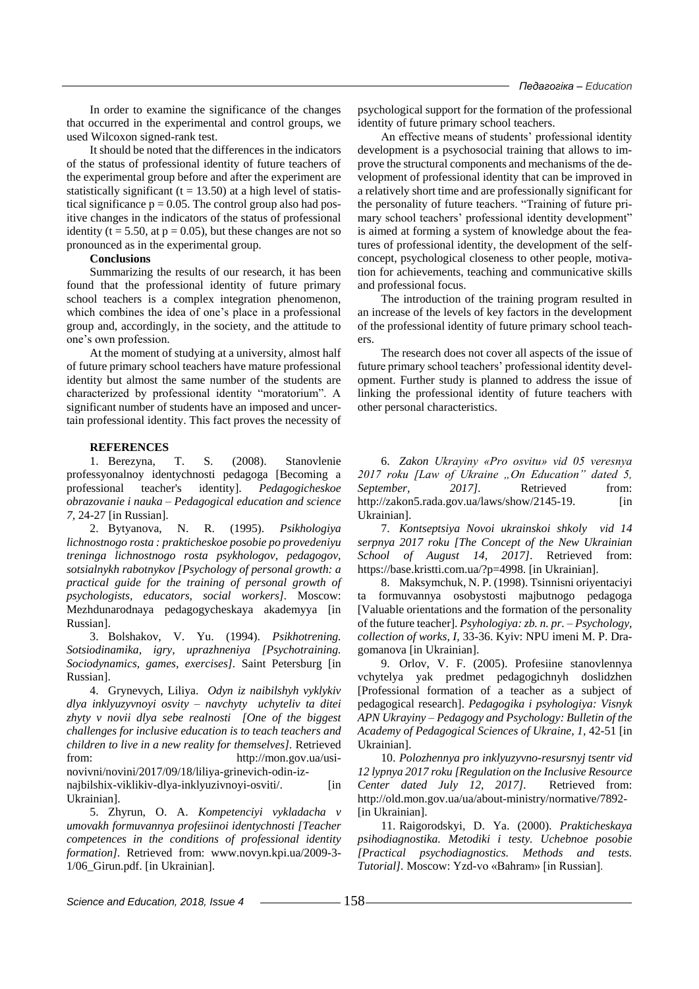In order to examine the significance of the changes that occurred in the experimental and control groups, we used Wilcoxon signed-rank test.

It should be noted that the differences in the indicators of the status of professional identity of future teachers of the experimental group before and after the experiment are statistically significant ( $t = 13.50$ ) at a high level of statistical significance  $p = 0.05$ . The control group also had positive changes in the indicators of the status of professional identity ( $t = 5.50$ , at  $p = 0.05$ ), but these changes are not so pronounced as in the experimental group.

#### **Conclusions**

Summarizing the results of our research, it has been found that the professional identity of future primary school teachers is a complex integration phenomenon, which combines the idea of one's place in a professional group and, accordingly, in the society, and the attitude to one's own profession.

At the moment of studying at a university, almost half of future primary school teachers have mature professional identity but almost the same number of the students are characterized by professional identity "moratorium". A significant number of students have an imposed and uncertain professional identity. This fact proves the necessity of

### **REFERENCES**

1. Berezyna, T. S. (2008). Stanovlenie professyonalnoy identychnosti pedagoga [Becoming a professional teacher's identity]. *Pedagogicheskoe obrazovanie i nauka – Pedagogical education and science 7,* 24-27 [in Russian].

2. Bytyanova, N. R. (1995). *Psikhologiya lichnostnogo rosta : prakticheskoe posobie po provedeniyu treninga lichnostnogo rosta psykhologov, pedagogov, sotsialnykh rabotnykov [Psychology of personal growth: a practical guide for the training of personal growth of psychologists, educators, social workers].* Moscow: Mezhdunarodnaya pedagogycheskaya akademyya [in Russian].

3. Bolshakov, V. Yu. (1994). *Psikhotrening. Sotsiodinamika, igry, uprazhneniya [Psychotraining. Sociodynamics, games, exercises].* Saint Petersburg [in Russian].

4. Grynevych, Liliya. *Odyn iz naibilshyh vyklykiv dlya inklyuzyvnoyi osvity – navchyty uchyteliv ta ditei zhyty v novii dlya sebe realnosti [One of the biggest challenges for inclusive education is to teach teachers and children to live in a new reality for themselves].* Retrieved from: http://mon.gov.ua/usinovivni/novini/2017/09/18/liliya-grinevich-odin-iz-

najbilshix-viklikiv-dlya-inklyuzivnoyi-osviti/. [in Ukrainian].

5. Zhyrun, O. A. *Kompetenciyi vykladacha v umovakh formuvannya profesiinoi identychnosti [Teacher competences in the conditions of professional identity formation].* Retrieved from: www.novyn.kpi.ua/2009-3- 1/06\_Girun.pdf. [in Ukrainian].

psychological support for the formation of the professional identity of future primary school teachers.

An effective means of students' professional identity development is a psychosocial training that allows to improve the structural components and mechanisms of the development of professional identity that can be improved in a relatively short time and are professionally significant for the personality of future teachers. "Training of future primary school teachers' professional identity development" is aimed at forming a system of knowledge about the features of professional identity, the development of the selfconcept, psychological closeness to other people, motivation for achievements, teaching and communicative skills and professional focus.

The introduction of the training program resulted in an increase of the levels of key factors in the development of the professional identity of future primary school teachers.

The research does not cover all aspects of the issue of future primary school teachers' professional identity development. Further study is planned to address the issue of linking the professional identity of future teachers with other personal characteristics.

6. *Zakon Ukrayiny «Pro osvitu» vid 05 veresnya*  2017 roku *[Law of Ukraine ..On Education*" dated 5, *September.* 2017]. Retrieved from: http://zakon5.rada.gov.ua/laws/show/2145-19. [in Ukrainian].

7. *Kontseptsiya Novoi ukrainskoi shkoly vid 14 serpnya 2017 roku [The Concept of the New Ukrainian School of August 14, 2017]*. Retrieved from: https://base.kristti.com.ua/?p=4998. [in Ukrainian].

8. Maksymchuk, N. P. (1998). Tsinnisni oriyentaciyi ta formuvannya osobystosti majbutnogo pedagoga [Valuable orientations and the formation of the personality of the future teacher]. *Psyhologiya: zb. n. pr. – Psychology, collection of works, I,* 33-36. Kyiv: NPU imeni M. P. Dragomanova [in Ukrainian].

9. Orlov, V. F. (2005). Profesiine stanovlennya vchytelya yak predmet pedagogichnyh doslidzhen [Professional formation of a teacher as a subject of pedagogical research]. *Pedagogika i psyhologiya: Visnyk APN Ukrayiny – Pedagogy and Psychology: Bulletin of the Academy of Pedagogical Sciences of Ukraine, 1,* 42-51 [in Ukrainian].

10. *Polozhennya pro inklyuzyvno-resursnyj tsentr vid 12 lypnya 2017 roku [Regulation on the Inclusive Resource Center dated July 12, 2017].* Retrieved from: http://old.mon.gov.ua/ua/about-ministry/normative/7892- [in Ukrainian].

11. Raigorodskyi, D. Ya. (2000). *Prakticheskaya psihodiagnostika. Metodiki i testy. Uchebnoe posobie [Practical psychodiagnostics. Methods and tests. Tutorial].* Moscow: Yzd-vo «Bahram» [in Russian].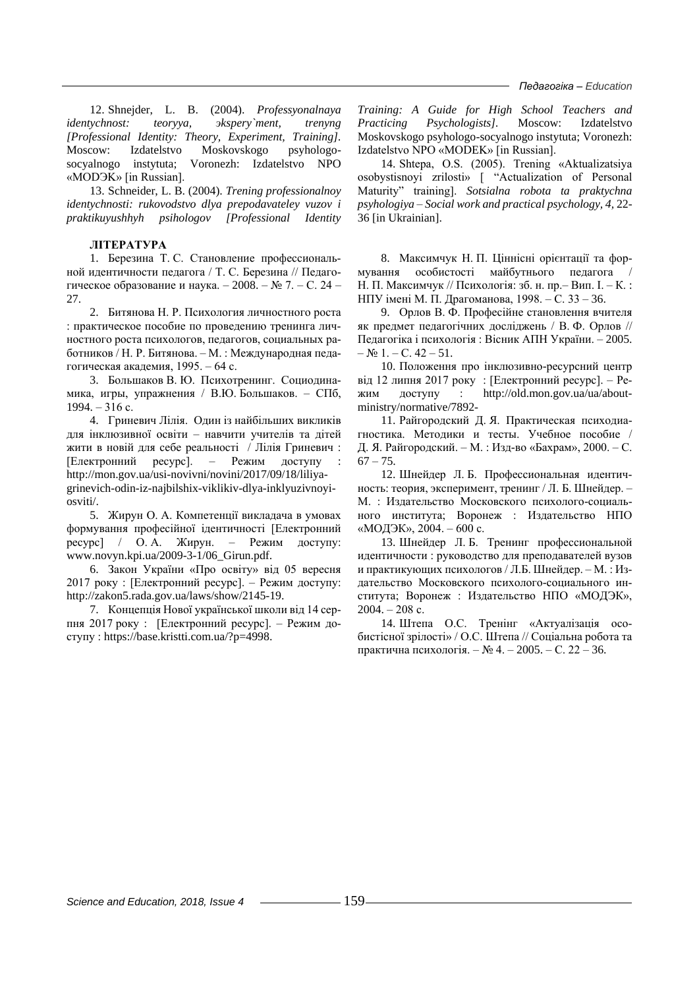12. Shnejder, L. B. (2004). *Professyonalnaya identychnost: teoryya, эkspery`ment, trenyng [Professional Identity: Theory, Experiment, Training].*  Moscow: Izdatelstvo Moskovskogo psyhologosocyalnogo instytuta; Voronezh: Izdatelstvo NPO «MODЭK» [in Russian].

13. Schneider, L. B. (2004). *Trening professionalnoy identychnosti: rukovodstvo dlya prepodavateley vuzov i praktikuyushhyh psihologov [Professional Identity* 

### **ЛІТЕРАТУРА**

1. Березина Т. С. Становление профессиональной идентичности педагога / Т. С. Березина // Педагогическое образование и наука. – 2008. – № 7. – С. 24 – 27.

2. Битянова Н. Р. Психология личностного роста : практическое пособие по проведению тренинга личностного роста психологов, педагогов, социальных работников / Н. Р. Битянова. – М. : Международная педагогическая академия, 1995. – 64 с.

3. Большаков В. Ю. Психотренинг. Социодинамика, игры, упражнения / В.Ю. Большаков. – СПб, 1994. – 316 с.

4. Гриневич Лілія. Один із найбільших викликів для інклюзивної освіти – навчити учителів та дітей жити в новій для себе реальності / Лілія Гриневич : [Електронний ресурс]. – Режим доступу [http://mon.gov.ua/usi-novivni/novini/2017/09/18/liliya](http://mon.gov.ua/usi-novivni/novini/2017/09/18/liliya-grinevich-odin-iz-najbilshix-viklikiv-dlya-inklyuzivnoyi-osviti/)[grinevich-odin-iz-najbilshix-viklikiv-dlya-inklyuzivnoyi](http://mon.gov.ua/usi-novivni/novini/2017/09/18/liliya-grinevich-odin-iz-najbilshix-viklikiv-dlya-inklyuzivnoyi-osviti/)[osviti/.](http://mon.gov.ua/usi-novivni/novini/2017/09/18/liliya-grinevich-odin-iz-najbilshix-viklikiv-dlya-inklyuzivnoyi-osviti/)

5. Жирун О. А. Компетенції викладача в умовах формування професійної ідентичності [Електронний ресурс] / О. А. Жирун. – Режим доступу: [www.novyn.kpi.ua/2009-3-1/06\\_Girun.pdf.](http://www.novyn.kpi.ua/2009-3-1/06_Girun.pdf)

6. Закон України «Про освіту» від 05 вересня 2017 року : [Електронний ресурс]. – Режим доступу: [http://zakon5.rada.gov.ua/laws/show/2145-19.](http://zakon5.rada.gov.ua/laws/show/2145-19)

7. Концепція Нової української школи від 14 серпня 2017 року : [Електронний ресурс]. – Режим доступу [: https://base.kristti.com.ua/?p=4998.](https://base.kristti.com.ua/?p=4998)

*Training: A Guide for High School Teachers and Practicing Psychologists].* Moscow: Izdatelstvo Moskovskogo psyhologo-socyalnogo instytuta; Voronezh: Izdatelstvo NPO «MODEK» [in Russian].

14. Shtepa, O.S. (2005). Trening «Aktualizatsiya osobystisnoyi zrilosti» [ "Actualization of Personal Maturity" training]. *Sotsialna robota ta praktychna psyhologiya – Social work and practical psychology, 4,* 22- 36 [in Ukrainian].

8. Максимчук Н. П. Ціннісні орієнтації та формування особистості майбутнього педагога / Н. П. Максимчук // Психологія: зб. н. пр.– Вип. І. – К. : НПУ імені М. П. Драгоманова, 1998. – С. 33 – 36.

9. Орлов В. Ф. Професійне становлення вчителя як предмет педагогічних досліджень / В. Ф. Орлов // Педагогіка і психологія : Вісник АПН України. – 2005.  $-$  No 1. – C. 42 – 51.

10. Положення про інклюзивно-ресурсний центр від 12 липня 2017 року : [Електронний ресурс]. – Режим доступу : [http://old.mon.gov.ua/ua/about](http://old.mon.gov.ua/ua/about-ministry/normative/7892-)[ministry/normative/7892-](http://old.mon.gov.ua/ua/about-ministry/normative/7892-)

11. Райгородский Д. Я. Практическая психодиагностика. Методики и тесты. Учебное пособие / Д. Я. Райгородский. – М. : Изд-во «Бахрам», 2000. – С.  $67 - 75.$ 

12. Шнейдер Л. Б. Профессиональная идентичность: теория, эксперимент, тренинг / Л. Б. Шнейдер. – М. : Издательство Московского психолого-социального института; Воронеж : Издательство НПО «МОДЭК», 2004. – 600 с.

13. Шнейдер Л. Б. Тренинг профессиональной идентичности : руководство для преподавателей вузов и практикующих психологов / Л.Б. Шнейдер. – М. : Издательство Московского психолого-социального института; Воронеж : Издательство НПО «МОДЭК», 2004. – 208 с.

14. Штепа О.С. Тренінг «Актуалізація особистісної зрілості» / О.С. Штепа // Соціальна робота та практична психологія. – № 4. – 2005. – С. 22 – 36.